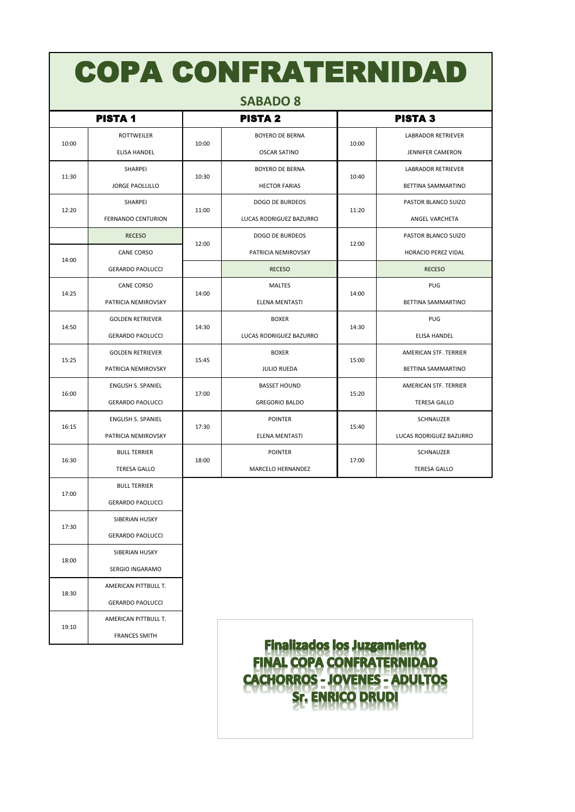| <b>COPA CONFRATERNIDAD</b> |                           |                |                         |                |                           |  |  |  |  |  |
|----------------------------|---------------------------|----------------|-------------------------|----------------|---------------------------|--|--|--|--|--|
| <b>SABADO 8</b>            |                           |                |                         |                |                           |  |  |  |  |  |
| <b>PISTA1</b>              |                           | <b>PISTA 2</b> |                         | <b>PISTA 3</b> |                           |  |  |  |  |  |
| 10:00                      | ROTTWEILER                |                | <b>BOYERO DE BERNA</b>  | 10:00          | <b>LABRADOR RETRIEVER</b> |  |  |  |  |  |
|                            | <b>ELISA HANDEL</b>       | 10:00          | <b>OSCAR SATINO</b>     |                | <b>JENNIFER CAMERON</b>   |  |  |  |  |  |
| 11:30                      | SHARPEI                   |                | <b>BOYERO DE BERNA</b>  | 10:40          | <b>LABRADOR RETRIEVER</b> |  |  |  |  |  |
|                            | <b>JORGE PAOLLILLO</b>    | 10:30          | <b>HECTOR FARIAS</b>    |                | BETTINA SAMMARTINO        |  |  |  |  |  |
| 12:20                      | <b>SHARPEI</b>            |                | <b>DOGO DE BURDEOS</b>  | 11:20          | PASTOR BLANCO SUIZO       |  |  |  |  |  |
|                            | <b>FERNANDO CENTURION</b> | 11:00          | LUCAS RODRIGUEZ BAZURRO |                | ANGEL VARCHETA            |  |  |  |  |  |
|                            | <b>RECESO</b>             |                | <b>DOGO DE BURDEOS</b>  |                | PASTOR BLANCO SUIZO       |  |  |  |  |  |
| 14:00                      | <b>CANE CORSO</b>         | 12:00          | PATRICIA NEMIROVSKY     | 12:00          | HORACIO PEREZ VIDAL       |  |  |  |  |  |
|                            | <b>GERARDO PAOLUCCI</b>   |                | <b>RECESO</b>           |                | <b>RECESO</b>             |  |  |  |  |  |
| 14:25                      | <b>CANE CORSO</b>         | 14:00          | <b>MALTES</b>           | 14:00          | <b>PUG</b>                |  |  |  |  |  |
|                            | PATRICIA NEMIROVSKY       |                | ELENA MENTASTI          |                | BETTINA SAMMARTINO        |  |  |  |  |  |
| 14:50                      | <b>GOLDEN RETRIEVER</b>   |                | <b>BOXER</b>            | 14:30          | PUG                       |  |  |  |  |  |
|                            | <b>GERARDO PAOLUCCI</b>   | 14:30          | LUCAS RODRIGUEZ BAZURRO |                | ELISA HANDEL              |  |  |  |  |  |
| 15:25                      | <b>GOLDEN RETRIEVER</b>   |                | <b>BOXER</b>            | 15:00          | AMERICAN STF. TERRIER     |  |  |  |  |  |
|                            | PATRICIA NEMIROVSKY       | 15:45          | <b>JULIO RUEDA</b>      |                | BETTINA SAMMARTINO        |  |  |  |  |  |
| 16:00                      | <b>ENGLISH S. SPANIEL</b> |                | <b>BASSET HOUND</b>     |                | AMERICAN STF. TERRIER     |  |  |  |  |  |
|                            | <b>GERARDO PAOLUCCI</b>   | 17:00          | <b>GREGORIO BALDO</b>   | 15:20          | <b>TERESA GALLO</b>       |  |  |  |  |  |
| 16:15                      | ENGLISH S. SPANIEL        |                | <b>POINTER</b>          | 15:40          | SCHNAUZER                 |  |  |  |  |  |
|                            | PATRICIA NEMIROVSKY       | 17:30          | ELENA MENTASTI          |                | LUCAS RODRIGUEZ BAZURRO   |  |  |  |  |  |
| 16:30                      | <b>BULL TERRIER</b>       |                | <b>POINTER</b>          | 17:00          | SCHNAUZER                 |  |  |  |  |  |
|                            | <b>TERESA GALLO</b>       | 18:00          | MARCELO HERNANDEZ       |                | <b>TERESA GALLO</b>       |  |  |  |  |  |
| 17:00                      | <b>BULL TERRIER</b>       |                |                         |                |                           |  |  |  |  |  |
|                            | <b>GERARDO PAOLUCCI</b>   |                |                         |                |                           |  |  |  |  |  |

SIBERIAN HUSKY GERARDO PAOLUCCI SIBERIAN HUSKY SERGIO INGARAMO AMERICAN PITTBULL T. GERARDO PAOLUCCI AMERICAN PITTBULL T. FRANCES SMITH

19:10

17:30

18:00

18:30

**Finalizados los Juzgamiento** FINAL COPA CONFRATERNIDAD<br>CACHORROS - JOVENES - ADULTOS Sr. ENRICO DRUDI